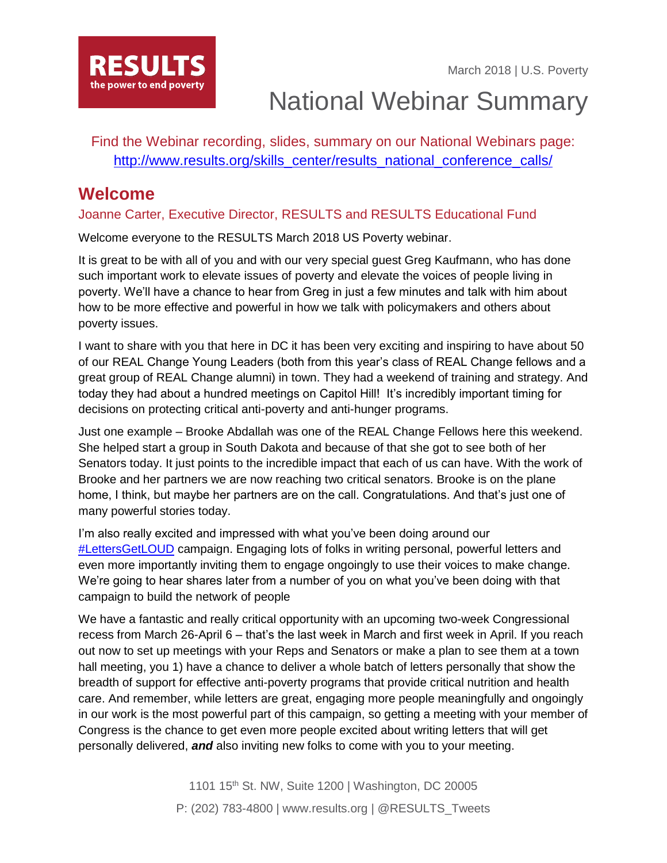

National Webinar Summary

Find the Webinar recording, slides, summary on our National Webinars page: [http://www.results.org/skills\\_center/results\\_national\\_conference\\_calls/](http://www.results.org/skills_center/results_national_conference_calls/)

### **Welcome**

### Joanne Carter, Executive Director, RESULTS and RESULTS Educational Fund

Welcome everyone to the RESULTS March 2018 US Poverty webinar.

It is great to be with all of you and with our very special guest Greg Kaufmann, who has done such important work to elevate issues of poverty and elevate the voices of people living in poverty. We'll have a chance to hear from Greg in just a few minutes and talk with him about how to be more effective and powerful in how we talk with policymakers and others about poverty issues.

I want to share with you that here in DC it has been very exciting and inspiring to have about 50 of our REAL Change Young Leaders (both from this year's class of REAL Change fellows and a great group of REAL Change alumni) in town. They had a weekend of training and strategy. And today they had about a hundred meetings on Capitol Hill! It's incredibly important timing for decisions on protecting critical anti-poverty and anti-hunger programs.

Just one example – Brooke Abdallah was one of the REAL Change Fellows here this weekend. She helped start a group in South Dakota and because of that she got to see both of her Senators today. It just points to the incredible impact that each of us can have. With the work of Brooke and her partners we are now reaching two critical senators. Brooke is on the plane home, I think, but maybe her partners are on the call. Congratulations. And that's just one of many powerful stories today.

I'm also really excited and impressed with what you've been doing around our [#LettersGetLOUD](http://www.results.org/lettersgetloud) campaign. Engaging lots of folks in writing personal, powerful letters and even more importantly inviting them to engage ongoingly to use their voices to make change. We're going to hear shares later from a number of you on what you've been doing with that campaign to build the network of people

We have a fantastic and really critical opportunity with an upcoming two-week Congressional recess from March 26-April 6 – that's the last week in March and first week in April. If you reach out now to set up meetings with your Reps and Senators or make a plan to see them at a town hall meeting, you 1) have a chance to deliver a whole batch of letters personally that show the breadth of support for effective anti-poverty programs that provide critical nutrition and health care. And remember, while letters are great, engaging more people meaningfully and ongoingly in our work is the most powerful part of this campaign, so getting a meeting with your member of Congress is the chance to get even more people excited about writing letters that will get personally delivered, *and* also inviting new folks to come with you to your meeting.

> 1101 15th St. NW, Suite 1200 | Washington, DC 20005 P: (202) 783-4800 | www.results.org | @RESULTS\_Tweets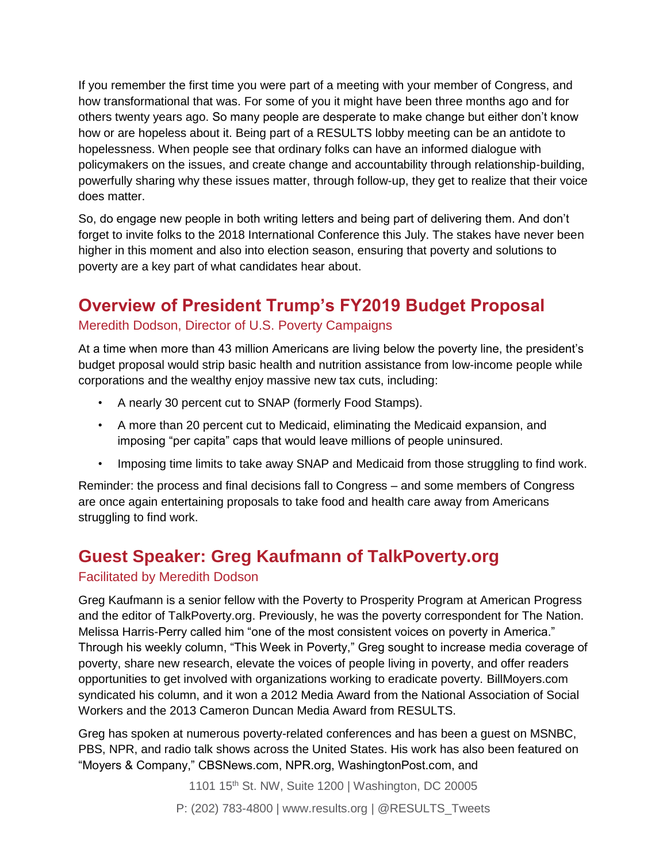If you remember the first time you were part of a meeting with your member of Congress, and how transformational that was. For some of you it might have been three months ago and for others twenty years ago. So many people are desperate to make change but either don't know how or are hopeless about it. Being part of a RESULTS lobby meeting can be an antidote to hopelessness. When people see that ordinary folks can have an informed dialogue with policymakers on the issues, and create change and accountability through relationship-building, powerfully sharing why these issues matter, through follow-up, they get to realize that their voice does matter.

So, do engage new people in both writing letters and being part of delivering them. And don't forget to invite folks to the 2018 International Conference this July. The stakes have never been higher in this moment and also into election season, ensuring that poverty and solutions to poverty are a key part of what candidates hear about.

# **Overview of President Trump's FY2019 Budget Proposal**

### Meredith Dodson, Director of U.S. Poverty Campaigns

At a time when more than 43 million Americans are living below the poverty line, the president's budget proposal would strip basic health and nutrition assistance from low-income people while corporations and the wealthy enjoy massive new tax cuts, including:

- A nearly 30 percent cut to SNAP (formerly Food Stamps).
- A more than 20 percent cut to Medicaid, eliminating the Medicaid expansion, and imposing "per capita" caps that would leave millions of people uninsured.
- Imposing time limits to take away SNAP and Medicaid from those struggling to find work.

Reminder: the process and final decisions fall to Congress – and some members of Congress are once again entertaining proposals to take food and health care away from Americans struggling to find work.

### **Guest Speaker: Greg Kaufmann of TalkPoverty.org**

#### Facilitated by Meredith Dodson

Greg Kaufmann is a senior fellow with the Poverty to Prosperity Program at American Progress and the editor of TalkPoverty.org. Previously, he was the poverty correspondent for *The Nation*. Melissa Harris-Perry called him "one of the most consistent voices on poverty in America." Through his weekly column, "This Week in Poverty," Greg sought to increase media coverage of poverty, share new research, elevate the voices of people living in poverty, and offer readers opportunities to get involved with organizations working to eradicate poverty. BillMoyers.com syndicated his column, and it won a 2012 Media Award from the National Association of Social Workers and the 2013 Cameron Duncan Media Award from RESULTS.

Greg has spoken at numerous poverty-related conferences and has been a guest on MSNBC, PBS, NPR, and radio talk shows across the United States. His work has also been featured on "Moyers & Company," CBSNews.com, NPR.org, WashingtonPost.com, and

1101 15th St. NW, Suite 1200 | Washington, DC 20005

P: (202) 783-4800 | www.results.org | @RESULTS\_Tweets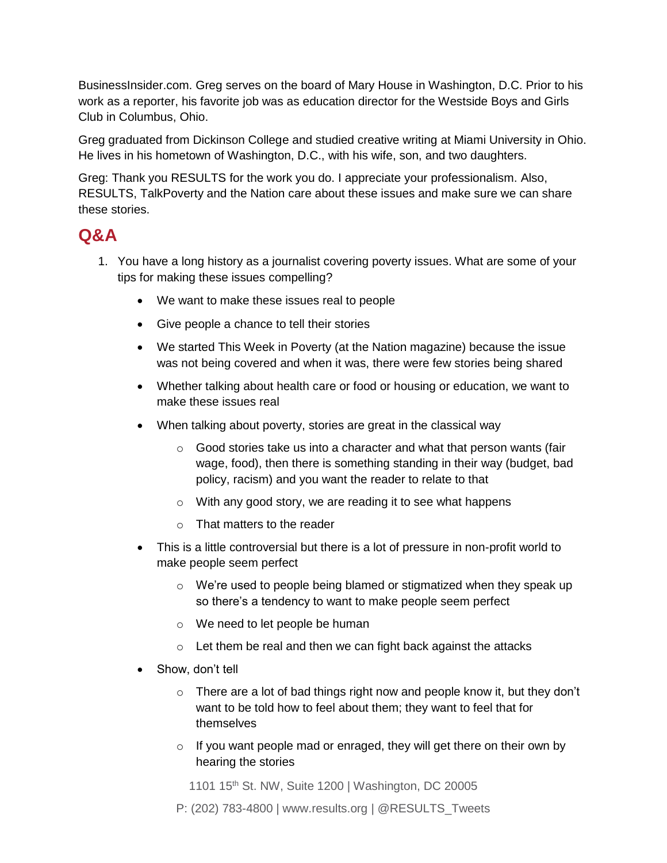BusinessInsider.com. Greg serves on the board of Mary House in Washington, D.C. Prior to his work as a reporter, his favorite job was as education director for the Westside Boys and Girls Club in Columbus, Ohio.

Greg graduated from Dickinson College and studied creative writing at Miami University in Ohio. He lives in his hometown of Washington, D.C., with his wife, son, and two daughters.

*Greg: Thank you RESULTS for the work you do. I appreciate your professionalism. Also, RESULTS, TalkPoverty and the Nation care about these issues and make sure we can share these stories.*

### **Q&A**

- 1. You have a long history as a journalist covering poverty issues. What are some of your tips for making these issues compelling?
	- We want to make these issues real to people
	- Give people a chance to tell their stories
	- We started This Week in Poverty (at the *Nation* magazine) because the issue was not being covered and when it was, there were few stories being shared
	- Whether talking about health care or food or housing or education, we want to make these issues real
	- When talking about poverty, stories are great in the classical way
		- $\circ$  Good stories take us into a character and what that person wants (fair wage, food), then there is something standing in their way (budget, bad policy, racism) and you want the reader to relate to that
		- o With any good story, we are reading it to see what happens
		- o That matters to the reader
	- This is a little controversial but there is a lot of pressure in non-profit world to make people seem perfect
		- $\circ$  We're used to people being blamed or stigmatized when they speak up so there's a tendency to want to make people seem perfect
		- o We need to let people be human
		- o Let them be real and then we can fight back against the attacks
	- Show, don't tell
		- o There are a lot of bad things right now and people know it, but they don't want to be told how to feel about them; they want to feel that for themselves
		- $\circ$  If you want people mad or enraged, they will get there on their own by hearing the stories

1101 15th St. NW, Suite 1200 | Washington, DC 20005

P: (202) 783-4800 | www.results.org | @RESULTS\_Tweets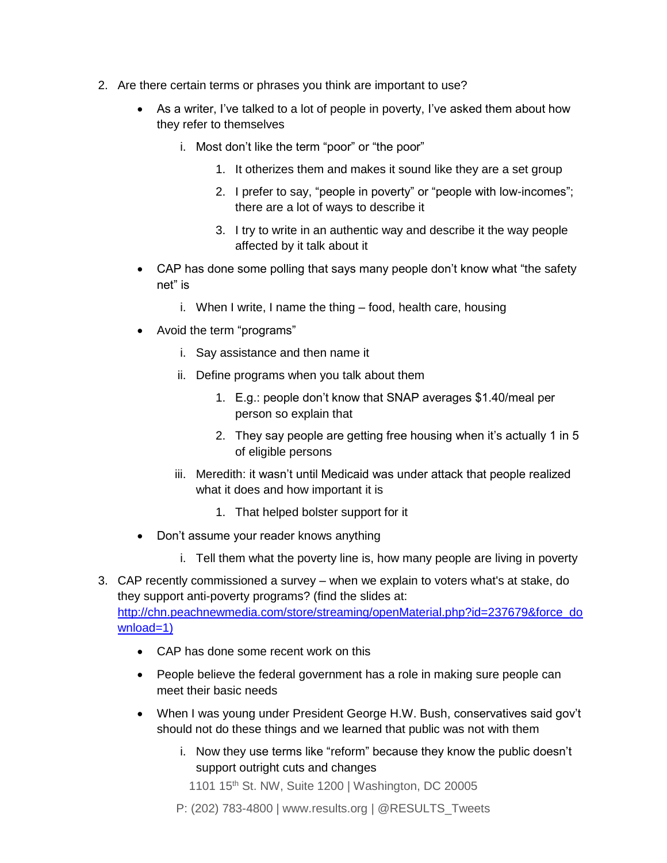- 2. Are there certain terms or phrases you think are important to use?
	- As a writer, I've talked to a lot of people in poverty, I've asked them about how they refer to themselves
		- i. Most don't like the term "poor" or "the poor"
			- 1. It otherizes them and makes it sound like they are a set group
			- 2. I prefer to say, "people in poverty" or "people with low-incomes"; there are a lot of ways to describe it
			- 3. I try to write in an authentic way and describe it the way people affected by it talk about it
	- CAP has done some polling that says many people don't know what "the safety net" is
		- i. When I write, I name the thing food, health care, housing
	- Avoid the term "programs"
		- i. Say assistance and then name it
		- ii. Define programs when you talk about them
			- 1. E.g.: people don't know that SNAP averages \$1.40/meal per person so explain that
			- 2. They say people are getting free housing when it's actually 1 in 5 of eligible persons
		- iii. Meredith: it wasn't until Medicaid was under attack that people realized what it does and how important it is
			- 1. That helped bolster support for it
	- Don't assume your reader knows anything
		- i. Tell them what the poverty line is, how many people are living in poverty
- 3. CAP recently commissioned a survey when we explain to voters what's at stake, do they support anti-poverty programs? (find the slides at: [http://chn.peachnewmedia.com/store/streaming/openMaterial.php?id=237679&force\\_do](http://chn.peachnewmedia.com/store/streaming/openMaterial.php?id=237679&force_download=1) [wnload=1](http://chn.peachnewmedia.com/store/streaming/openMaterial.php?id=237679&force_download=1))
	- CAP has done some recent work on this
	- People believe the federal government has a role in making sure people can meet their basic needs
	- When I was young under President George H.W. Bush, conservatives said gov't should not do these things and we learned that public was not with them
		- i. Now they use terms like "reform" because they know the public doesn't support outright cuts and changes
			- 1101 15<sup>th</sup> St. NW, Suite 1200 | Washington, DC 20005
		- P: (202) 783-4800 | www.results.org | @RESULTS\_Tweets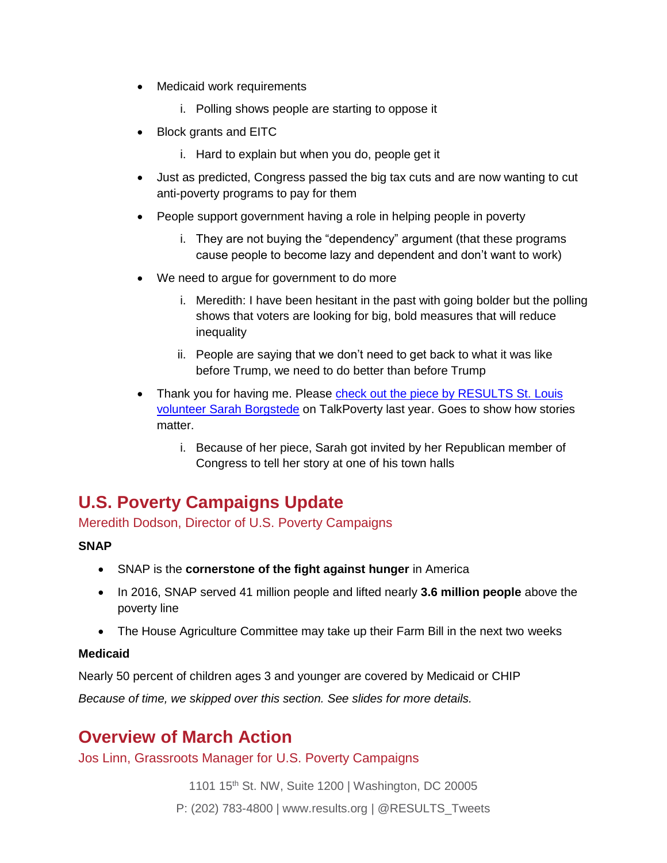- Medicaid work requirements
	- i. Polling shows people are starting to oppose it
- Block grants and EITC
	- i. Hard to explain but when you do, people get it
- Just as predicted, Congress passed the big tax cuts and are now wanting to cut anti-poverty programs to pay for them
- People support government having a role in helping people in poverty
	- i. They are not buying the "dependency" argument (that these programs cause people to become lazy and dependent and don't want to work)
- We need to argue for government to do more
	- i. Meredith: I have been hesitant in the past with going bolder but the polling shows that voters are looking for big, bold measures that will reduce inequality
	- ii. People are saying that we don't need to get back to what it was like before Trump, we need to do better than before Trump
- Thank you for having me. Please check out the piece by RESULTS St. Louis [volunteer Sarah Borgstede](https://talkpoverty.org/2017/02/08/affordable-care-act-saved-husbands-life/) on TalkPoverty last year. Goes to show how stories matter.
	- i. Because of her piece, Sarah got invited by her Republican member of Congress to tell her story at one of his town halls

## **U.S. Poverty Campaigns Update**

Meredith Dodson, Director of U.S. Poverty Campaigns

#### **SNAP**

- SNAP is the **cornerstone of the fight against hunger** in America
- In 2016, SNAP served 41 million people and lifted nearly **3.6 million people** above the poverty line
- The House Agriculture Committee may take up their Farm Bill in the next two weeks

#### **Medicaid**

Nearly 50 percent of children ages 3 and younger are covered by Medicaid or CHIP

*Because of time, we skipped over this section. See slides for more details.*

## **Overview of March Action**

Jos Linn, Grassroots Manager for U.S. Poverty Campaigns

1101 15th St. NW, Suite 1200 | Washington, DC 20005

P: (202) 783-4800 | www.results.org | @RESULTS\_Tweets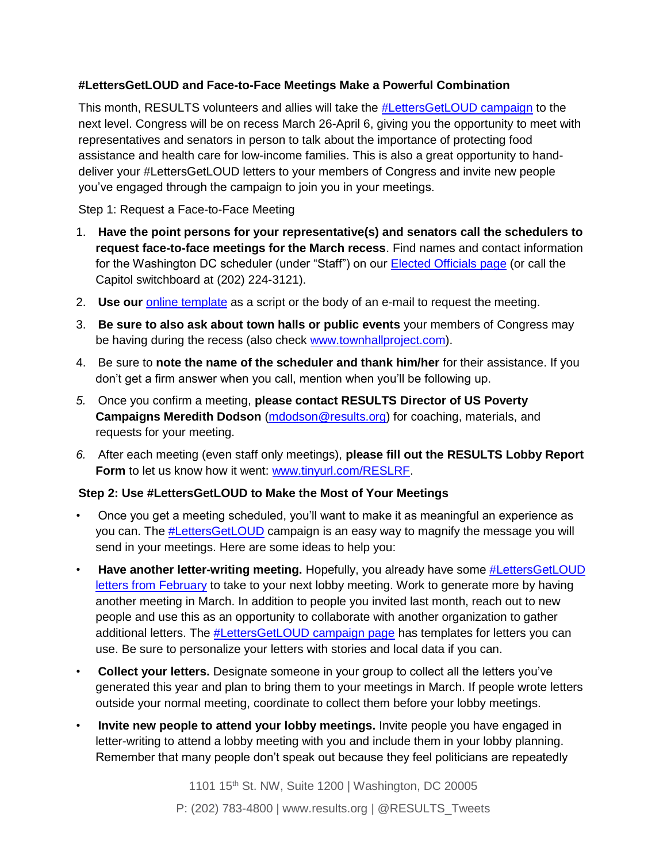#### **#LettersGetLOUD and Face-to-Face Meetings Make a Powerful Combination**

This month, RESULTS volunteers and allies will take the **#LettersGetLOUD campaign** to the next level. Congress will be on recess March 26-April 6, giving you the opportunity to meet with representatives and senators in person to talk about the importance of protecting food assistance and health care for low-income families. This is also a great opportunity to handdeliver your #LettersGetLOUD letters to your members of Congress and invite new people you've engaged through the campaign to join you in your meetings.

Step 1: Request a Face-to-Face Meeting

- 1. **Have the point persons for your representative(s) and senators call the schedulers to request face-to-face meetings for the March recess**. Find names and contact information for the Washington DC scheduler (under "Staff") on our [Elected Officials page](http://www.results.org/take-action/action-center?vvsrc=%2fAddress) (or call the Capitol switchboard at (202) 224-3121).
- 2. **Use our** [online template](http://www.results.org/take-action/action-center?vvsrc=%2fcampaigns%2f54043%2frespond) as a script or the body of an e-mail to request the meeting.
- 3. **Be sure to also ask about town halls or public events** your members of Congress may be having during the recess (also check [www.townhallproject.com\)](http://www.townhallproject.com/).
- 4. Be sure to **note the name of the scheduler and thank him/her** for their assistance. If you don't get a firm answer when you call, mention when you'll be following up.
- *5.* Once you confirm a meeting, **please contact RESULTS Director of US Poverty Campaigns Meredith Dodson** [\(mdodson@results.org\)](mailto:mdodson@results.org) for coaching, materials, and requests for your meeting.
- *6.* After each meeting (even staff only meetings), **please fill out the RESULTS Lobby Report Form** to let us know how it went: [www.tinyurl.com/RESLRF.](http://www.tinyurl.com/RESLRF)

### **Step 2: Use #LettersGetLOUD to Make the Most of Your Meetings**

- Once you get a meeting scheduled, you'll want to make it as meaningful an experience as you can. The [#LettersGetLOUD](http://www.results.org/lettersgetloud) campaign is an easy way to magnify the message you will send in your meetings. Here are some ideas to help you:
- Have another letter-writing meeting. Hopefully, you already have some **#LettersGetLOUD** [letters from February](http://www.results.org/take_action/february_2018_u.s._poverty_action) to take to your next lobby meeting. Work to generate more by having another meeting in March. In addition to people you invited last month, reach out to new people and use this as an opportunity to collaborate with another organization to gather additional letters. The [#LettersGetLOUD campaign page](http://www.results.org/lettersgetloud) has templates for letters you can use. Be sure to personalize your letters with stories and local data if you can.
- **Collect your letters.** Designate someone in your group to collect all the letters you've generated this year and plan to bring them to your meetings in March. If people wrote letters outside your normal meeting, coordinate to collect them before your lobby meetings.
- **Invite new people to attend your lobby meetings.** Invite people you have engaged in letter-writing to attend a lobby meeting with you and include them in your lobby planning. Remember that many people don't speak out because they feel politicians are repeatedly

1101 15th St. NW, Suite 1200 | Washington, DC 20005 P: (202) 783-4800 | www.results.org | @RESULTS\_Tweets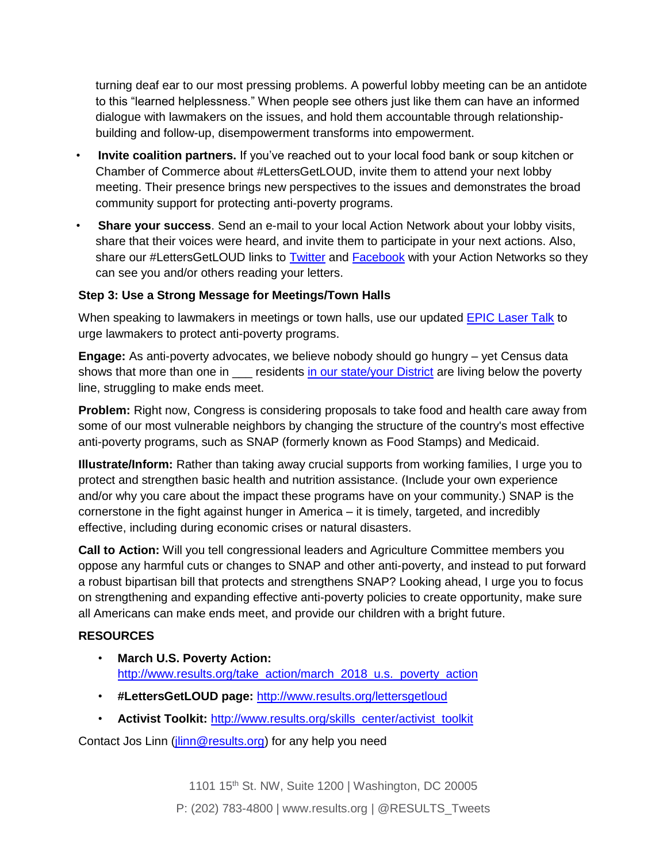turning deaf ear to our most pressing problems. A powerful lobby meeting can be an antidote to this "learned helplessness." When people see others just like them can have an informed dialogue with lawmakers on the issues, and hold them accountable through relationshipbuilding and follow-up, disempowerment transforms into empowerment.

- **Invite coalition partners.** If you've reached out to your local food bank or soup kitchen or Chamber of Commerce about #LettersGetLOUD, invite them to attend your next lobby meeting. Their presence brings new perspectives to the issues and demonstrates the broad community support for protecting anti-poverty programs.
- **Share your success**. Send an e-mail to your local Action Network about your lobby visits, share that their voices were heard, and invite them to participate in your next actions. Also, share our #LettersGetLOUD links to [Twitter](https://twitter.com/search?f=tweets&vertical=default&q=%23LettersGetLOUD&src=typd) and [Facebook](https://www.facebook.com/search/str/%23LettersGetLOUD/keywords_search) with your Action Networks so they can see you and/or others reading your letters.

#### **Step 3: Use a Strong Message for Meetings/Town Halls**

When speaking to lawmakers in meetings or town halls, use our updated **EPIC Laser Talk** to urge lawmakers to protect anti-poverty programs.

**Engage:** As anti-poverty advocates, we believe nobody should go hungry – yet Census data shows that more than one in \_\_\_ residents [in our state/your District](https://talkpoverty.org/poverty/) are living below the poverty line, struggling to make ends meet.

**Problem:** Right now, Congress is considering proposals to take food and health care away from some of our most vulnerable neighbors by changing the structure of the country's most effective anti-poverty programs, such as SNAP (formerly known as Food Stamps) and Medicaid.

**Illustrate/Inform:** Rather than taking away crucial supports from working families, I urge you to protect and strengthen basic health and nutrition assistance. (Include your own experience and/or why you care about the impact these programs have on your community.) SNAP is the cornerstone in the fight against hunger in America – it is timely, targeted, and incredibly effective, including during economic crises or natural disasters.

**Call to Action:** Will you tell congressional leaders and Agriculture Committee members you oppose any harmful cuts or changes to SNAP and other anti-poverty, and instead to put forward a robust bipartisan bill that protects and strengthens SNAP? Looking ahead, I urge you to focus on strengthening and expanding effective anti-poverty policies to create opportunity, make sure all Americans can make ends meet, and provide our children with a bright future.

#### **RESOURCES**

- **March U.S. Poverty Action:**  [http://www.results.org/take\\_action/march\\_2018\\_u.s.\\_poverty\\_action](http://www.results.org/take_action/march_2018_u.s._poverty_action)
- **#LettersGetLOUD page:** <http://www.results.org/lettersgetloud>
- **Activist Toolkit: [http://www.results.org/skills\\_center/activist\\_toolkit](http://www.results.org/skills_center/activist_toolkit)**

Contact Jos Linn [\(jlinn@results.org\)](mailto:jlinn@results.org) for any help you need

1101 15th St. NW, Suite 1200 | Washington, DC 20005 P: (202) 783-4800 | www.results.org | @RESULTS\_Tweets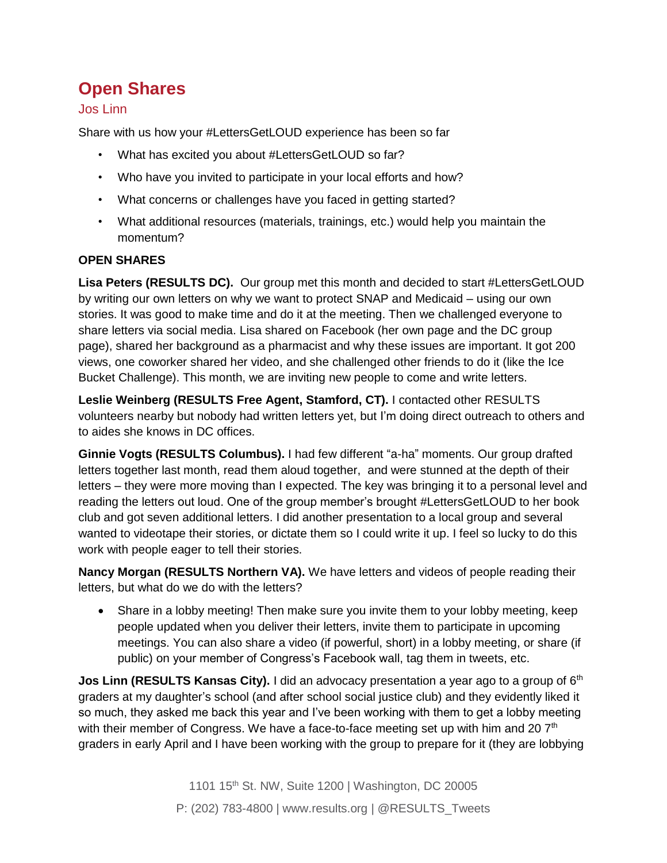# **Open Shares**

### Jos Linn

Share with us how your #LettersGetLOUD experience has been so far

- What has excited you about #LettersGetLOUD so far?
- Who have you invited to participate in your local efforts and how?
- What concerns or challenges have you faced in getting started?
- What additional resources (materials, trainings, etc.) would help you maintain the momentum?

### **OPEN SHARES**

**Lisa Peters (RESULTS DC).** Our group met this month and decided to start #LettersGetLOUD by writing our own letters on why we want to protect SNAP and Medicaid – using our own stories. It was good to make time and do it at the meeting. Then we challenged everyone to share letters via social media. Lisa shared on Facebook (her own page and the DC group page), shared her background as a pharmacist and why these issues are important. It got 200 views, one coworker shared her video, and she challenged other friends to do it (like the Ice Bucket Challenge). This month, we are inviting new people to come and write letters.

**Leslie Weinberg (RESULTS Free Agent, Stamford, CT).** I contacted other RESULTS volunteers nearby but nobody had written letters yet, but I'm doing direct outreach to others and to aides she knows in DC offices.

**Ginnie Vogts (RESULTS Columbus).** I had few different "a-ha" moments. Our group drafted letters together last month, read them aloud together, and were stunned at the depth of their letters – they were more moving than I expected. The key was bringing it to a personal level and reading the letters out loud. One of the group member's brought #LettersGetLOUD to her book club and got seven additional letters. I did another presentation to a local group and several wanted to videotape their stories, or dictate them so I could write it up. I feel so lucky to do this work with people eager to tell their stories.

**Nancy Morgan (RESULTS Northern VA).** We have letters and videos of people reading their letters, but what do we do with the letters?

• Share in a lobby meeting! Then make sure you invite them to your lobby meeting, keep people updated when you deliver their letters, invite them to participate in upcoming meetings. You can also share a video (if powerful, short) in a lobby meeting, or share (if public) on your member of Congress's Facebook wall, tag them in tweets, etc.

**Jos Linn (RESULTS Kansas City).** I did an advocacy presentation a year ago to a group of 6<sup>th</sup> graders at my daughter's school (and after school social justice club) and they evidently liked it so much, they asked me back this year and I've been working with them to get a lobby meeting with their member of Congress. We have a face-to-face meeting set up with him and 20  $7<sup>th</sup>$ graders in early April and I have been working with the group to prepare for it (they are lobbying